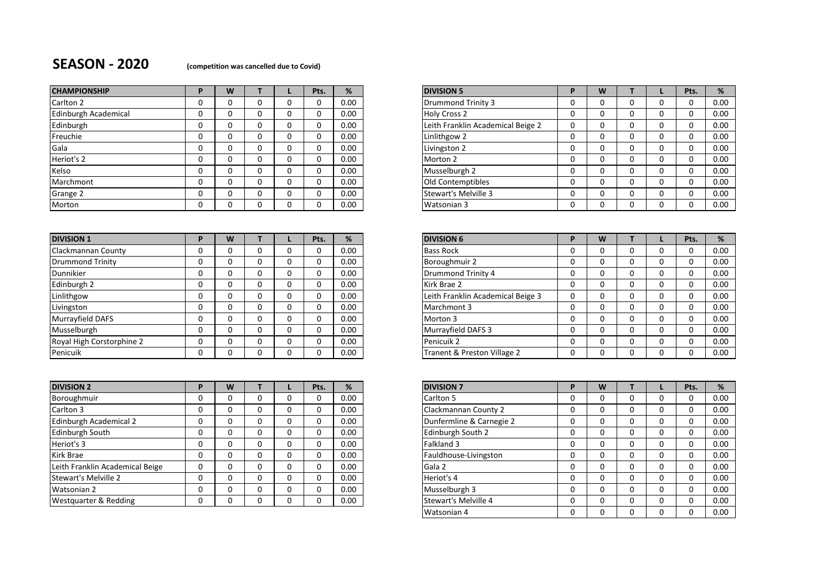## **SEASON - 2020 (competition was cancelled due to Covid)**

| <b>CHAMPIONSHIP</b>  | vv |   |   | Pts. | %    | <b>DIVISION 5</b>                 |    |    | Pts. | %    |
|----------------------|----|---|---|------|------|-----------------------------------|----|----|------|------|
| Carlton 2            |    |   | υ |      | 0.00 | Drummond Trinity 3                | υ  | υ  |      | 0.00 |
| Edinburgh Academical |    | υ | 0 |      | 0.00 | <b>Holy Cross 2</b>               | u  | U  |      | 0.00 |
| Edinburgh            |    |   | υ |      | 0.00 | Leith Franklin Academical Beige 2 |    | v  |      | 0.00 |
| Freuchie             |    |   | 0 |      | 0.00 | Linlithgow 2                      | л. | υ  |      | 0.00 |
| Gala                 |    |   | υ |      | 0.00 | Livingston 2                      | л. | u  |      | 0.00 |
| Heriot's 2           |    |   | υ |      | 0.00 | Morton 2                          | υ  | υ  | U    | 0.00 |
| Kelso                |    |   | 0 |      | 0.00 | Musselburgh 2                     | U  | υ  |      | 0.00 |
| Marchmont            |    |   | υ |      | 0.00 | Old Contemptibles                 | υ  | υ  | 0    | 0.00 |
| Grange 2             |    |   | 0 |      | 0.00 | Stewart's Melville 3              | U  | J. |      | 0.00 |
| Morton               |    |   |   |      | 0.00 | Watsonian 3                       |    |    |      | 0.00 |

| <b>DIVISION 1</b>         |  |   | Pts. | ℅    |
|---------------------------|--|---|------|------|
| Clackmannan County        |  |   |      | 0.00 |
| <b>Drummond Trinity</b>   |  | υ |      | 0.00 |
| Dunnikier                 |  | 0 |      | 0.00 |
| Edinburgh 2               |  | υ |      | 0.00 |
| Linlithgow                |  | 0 |      | 0.00 |
| Livingston                |  | υ |      | 0.00 |
| Murrayfield DAFS          |  | 0 |      | 0.00 |
| Musselburgh               |  | 0 |      | 0.00 |
| Royal High Corstorphine 2 |  | υ |      | 0.00 |
| Penicuik                  |  | υ |      | 0.00 |

| <b>DIVISION 2</b>               | D            | W |  | Pts. | %    | <b>DIVISION 7</b>        | D  | W |    | Pts. | %    |
|---------------------------------|--------------|---|--|------|------|--------------------------|----|---|----|------|------|
| Boroughmuir                     | U            |   |  |      | 0.00 | Carlton 5                | U  |   | J. |      | 0.00 |
| Carlton 3                       | $\mathbf{I}$ |   |  |      | 0.00 | Clackmannan County 2     | U  |   | u  |      | 0.00 |
| Edinburgh Academical 2          | $\mathbf{0}$ |   |  |      | 0.00 | Dunfermline & Carnegie 2 | U  |   | υ  |      | 0.00 |
| <b>Edinburgh South</b>          | 0            |   |  |      | 0.00 | Edinburgh South 2        | U  |   | U  |      | 0.00 |
| Heriot's 3                      | U            |   |  |      | 0.00 | Falkland 3               |    |   | υ  |      | 0.00 |
| Kirk Brae                       | O            |   |  |      | 0.00 | Fauldhouse-Livingston    | U  |   | J. |      | 0.00 |
| Leith Franklin Academical Beige | 0            |   |  |      | 0.00 | Gala 2                   | л. |   | υ  |      | 0.00 |
| Stewart's Melville 2            | 0            |   |  |      | 0.00 | Heriot's 4               | U  |   | 0  |      | 0.00 |
| Watsonian 2                     | 0            |   |  |      | 0.00 | Musselburgh 3            | υ  |   | υ  |      | 0.00 |
| Westquarter & Redding           | 0            |   |  |      | 0.00 | Stewart's Melville 4     | C  |   |    |      | 0.00 |
|                                 |              |   |  |      |      |                          |    |   |    |      |      |

| <b>CHAMPIONSHIP</b>         | W |  | Pts. | %    | <b>DIVISION 5</b>                 | W |  | Pts. | %    |
|-----------------------------|---|--|------|------|-----------------------------------|---|--|------|------|
| Carlton 2                   |   |  |      | 0.00 | <b>Drummond Trinity 3</b>         |   |  |      | 0.00 |
| <b>Edinburgh Academical</b> |   |  |      | 0.00 | <b>Holy Cross 2</b>               |   |  |      | 0.00 |
| Edinburgh                   |   |  |      | 0.00 | Leith Franklin Academical Beige 2 |   |  |      | 0.00 |
| Freuchie                    |   |  |      | 0.00 | Linlithgow 2                      |   |  |      | 0.00 |
| Gala                        |   |  |      | 0.00 | Livingston 2                      |   |  |      | 0.00 |
| Heriot's 2                  |   |  |      | 0.00 | Morton 2                          |   |  |      | 0.00 |
| Kelso                       |   |  |      | 0.00 | Musselburgh 2                     |   |  |      | 0.00 |
| Marchmont                   |   |  |      | 0.00 | Old Contemptibles                 |   |  |      | 0.00 |
| Grange 2                    |   |  |      | 0.00 | <b>Stewart's Melville 3</b>       |   |  |      | 0.00 |
| Morton                      |   |  |      | 0.00 | Watsonian 3                       |   |  |      | 0.00 |

| <b>DIVISION 6</b>                 | P | W |          |          | Pts.     | %    |
|-----------------------------------|---|---|----------|----------|----------|------|
| <b>Bass Rock</b>                  | O | O | $\Omega$ | O        | 0        | 0.00 |
| Boroughmuir 2                     | O | O | 0        | O        | 0        | 0.00 |
| Drummond Trinity 4                | O | O | $\Omega$ | O        | O        | 0.00 |
| Kirk Brae 2                       | O | O | O        | O        | 0        | 0.00 |
| Leith Franklin Academical Beige 3 | O | O | $\Omega$ | O        | 0        | 0.00 |
| Marchmont 3                       | O | O | $\Omega$ | O        | 0        | 0.00 |
| Morton 3                          | O | O | $\Omega$ | O        | $\Omega$ | 0.00 |
| Murrayfield DAFS 3                | O | O | $\Omega$ | O        | 0        | 0.00 |
| Penicuik 2                        | O | O | $\Omega$ | $\Omega$ | O        | 0.00 |
| Tranent & Preston Village 2       | O | O | $\Omega$ | O        | O        | 0.00 |

| <b>DIVISION 7</b>        | P        | W        |   |          | Pts.     | %    |
|--------------------------|----------|----------|---|----------|----------|------|
| Carlton 5                | 0        | $\Omega$ | 0 | O        | 0        | 0.00 |
| Clackmannan County 2     | O        | $\Omega$ | O | $\Omega$ | $\Omega$ | 0.00 |
| Dunfermline & Carnegie 2 | 0        | O        | O | O        | O        | 0.00 |
| Edinburgh South 2        | $\Omega$ | O        | O | O        | 0        | 0.00 |
| Falkland 3               | 0        | O        | O | $\Omega$ | 0        | 0.00 |
| Fauldhouse-Livingston    | 0        | O        | O | $\Omega$ | 0        | 0.00 |
| Gala 2                   | 0        | 0        | O | 0        | 0        | 0.00 |
| Heriot's 4               | 0        | O        | 0 | $\Omega$ | 0        | 0.00 |
| Musselburgh 3            | O        | O        | O | $\Omega$ | 0        | 0.00 |
| Stewart's Melville 4     | O        | O        | O | $\Omega$ | $\Omega$ | 0.00 |
| Watsonian 4              | 0        | 0        | O | $\Omega$ | 0        | 0.00 |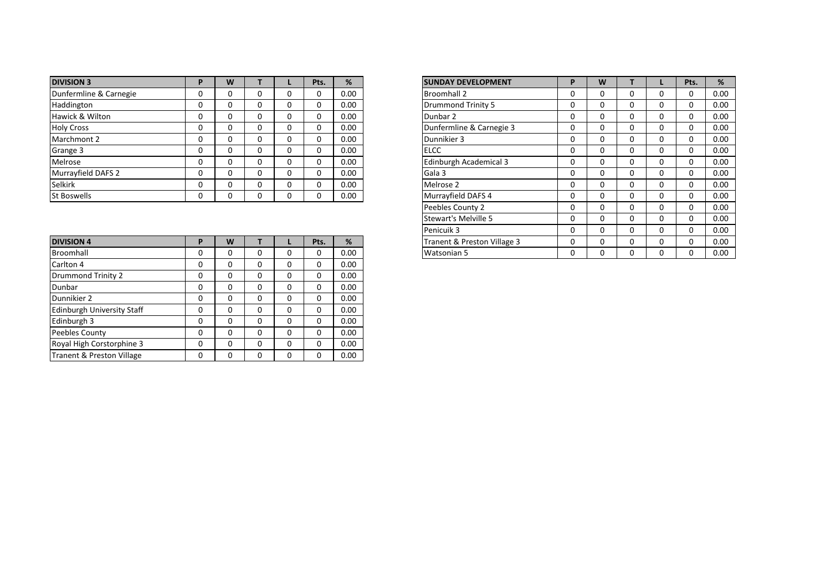| <b>DIVISION 3</b>      | P        | W        |   |          | Pts.     | %    |
|------------------------|----------|----------|---|----------|----------|------|
| Dunfermline & Carnegie | 0        | 0        | 0 | 0        | 0        | 0.00 |
| Haddington             | 0        | 0        | 0 | 0        | 0        | 0.00 |
| Hawick & Wilton        | 0        | 0        | 0 | 0        | 0        | 0.00 |
| <b>Holy Cross</b>      | 0        | 0        | 0 | 0        | 0        | 0.00 |
| Marchmont 2            | 0        | 0        | 0 | 0        | 0        | 0.00 |
| Grange 3               | 0        | 0        | 0 | 0        | 0        | 0.00 |
| Melrose                | 0        | 0        | 0 | 0        | 0        | 0.00 |
| Murrayfield DAFS 2     | $\Omega$ | $\Omega$ | 0 | $\Omega$ | $\Omega$ | 0.00 |
| Selkirk                | 0        | 0        | 0 | 0        | 0        | 0.00 |
| <b>St Boswells</b>     | 0        | 0        | 0 | 0        | 0        | 0.00 |

| <b>DIVISION 4</b>          | P | W        |          |          | Pts.     | %    |
|----------------------------|---|----------|----------|----------|----------|------|
| Broomhall                  | 0 | 0        | 0        | 0        | 0        | 0.00 |
| Carlton 4                  | 0 | 0        | 0        | $\Omega$ | O        | 0.00 |
| <b>Drummond Trinity 2</b>  | 0 | 0        | 0        | $\Omega$ | 0        | 0.00 |
| Dunbar                     | 0 | 0        | 0        | $\Omega$ | 0        | 0.00 |
| Dunnikier 2                | 0 | 0        | $\Omega$ | $\Omega$ | O        | 0.00 |
| Edinburgh University Staff | 0 | 0        | 0        | $\Omega$ | O        | 0.00 |
| Edinburgh 3                | 0 | 0        | 0        | $\Omega$ | $\Omega$ | 0.00 |
| Peebles County             | 0 | 0        | $\Omega$ | $\Omega$ | O        | 0.00 |
| Royal High Corstorphine 3  | 0 | $\Omega$ | $\Omega$ | $\Omega$ | O        | 0.00 |
| Tranent & Preston Village  | 0 | 0        | 0        | 0        | $\Omega$ | 0.00 |

| ts. | %    | <b>SUNDAY DEVELOPMENT</b>   | P        | W | T        |          | Pts.     | %    |
|-----|------|-----------------------------|----------|---|----------|----------|----------|------|
| 0   | 0.00 | <b>Broomhall 2</b>          | $\Omega$ | 0 | 0        | 0        | 0        | 0.00 |
| 0   | 0.00 | <b>Drummond Trinity 5</b>   | 0        | 0 | 0        | 0        | 0        | 0.00 |
| 0   | 0.00 | Dunbar 2                    | $\Omega$ | 0 | 0        | 0        | 0        | 0.00 |
| 0   | 0.00 | Dunfermline & Carnegie 3    | $\Omega$ | 0 | 0        | $\Omega$ | $\Omega$ | 0.00 |
| 0   | 0.00 | Dunnikier 3                 | $\Omega$ | 0 | 0        | 0        | 0        | 0.00 |
| 0   | 0.00 | <b>ELCC</b>                 | 0        | 0 | 0        | 0        | 0        | 0.00 |
| 0   | 0.00 | Edinburgh Academical 3      | $\Omega$ | 0 | 0        | 0        | 0        | 0.00 |
| 0   | 0.00 | Gala 3                      | 0        | 0 | $\Omega$ | 0        | 0        | 0.00 |
| 0   | 0.00 | Melrose 2                   | 0        | 0 | 0        | 0        | 0        | 0.00 |
| 0   | 0.00 | Murrayfield DAFS 4          | 0        | 0 | 0        | 0        | 0        | 0.00 |
|     |      | Peebles County 2            | $\Omega$ | 0 | $\Omega$ | 0        | 0        | 0.00 |
|     |      | Stewart's Melville 5        | $\Omega$ | 0 | 0        | 0        | 0        | 0.00 |
|     |      | Penicuik 3                  | 0        | 0 | 0        | 0        | 0        | 0.00 |
| ts. | %    | Tranent & Preston Village 3 | 0        | 0 | $\Omega$ | 0        | 0        | 0.00 |
| 0   | 0.00 | Watsonian 5                 | $\Omega$ | 0 | $\Omega$ | 0        | 0        | 0.00 |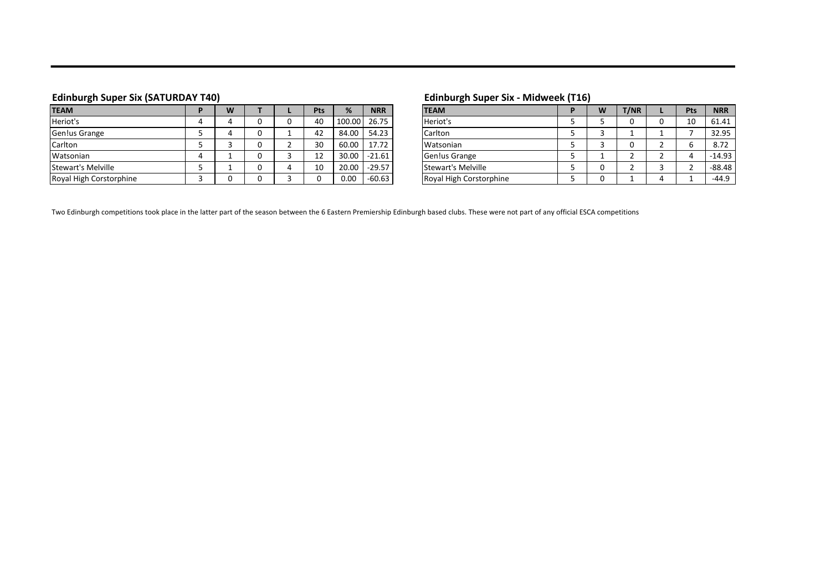| <b>TEAM</b>               | W |  | <b>Pts</b> | %     | <b>NRR</b>   | <b>TEAM</b>             | W | <b>T/NR</b> | <b>Pts</b> | <b>NRR</b> |
|---------------------------|---|--|------------|-------|--------------|-------------------------|---|-------------|------------|------------|
| Heriot's                  |   |  | 40         |       | 100.00 26.75 | Heriot's                |   |             | 10         | 61.41      |
| Gen!us Grange             |   |  | 42         | 84.00 | 54.23        | Carlton                 |   |             |            | 32.95      |
| Carlton                   |   |  | 30         | 60.00 | 17.72        | Watsonian               |   |             |            | 8.72       |
| Watsonian                 |   |  |            | 30.00 | $-21.61$     | Gen!us Grange           |   |             |            | $-14.93$   |
| <b>Stewart's Melville</b> |   |  | 10         | 20.00 | $-29.57$     | Stewart's Melville      |   |             |            | $-88.48$   |
| Royal High Corstorphine   |   |  |            | 0.00  | $-60.63$     | Royal High Corstorphine |   |             |            | $-44.9$    |

## **Edinburgh Super Six (SATURDAY T40) Edinburgh Super Six - Midweek (T16)**

| <b>TEAM</b>               | W | T/NR |   | Pts | <b>NRR</b> |
|---------------------------|---|------|---|-----|------------|
| Heriot's                  |   | 0    |   | 10  | 61.41      |
| Carlton                   | 3 |      |   |     | 32.95      |
| Watsonian                 | 3 | 0    | າ | 6   | 8.72       |
| Gen!us Grange             |   | 2    | า | 4   | $-14.93$   |
| <b>Stewart's Melville</b> |   |      | ∍ | 2   | $-88.48$   |
| Royal High Corstorphine   |   |      |   |     | $-44.9$    |

Two Edinburgh competitions took place in the latter part of the season between the 6 Eastern Premiership Edinburgh based clubs. These were not part of any official ESCA competitions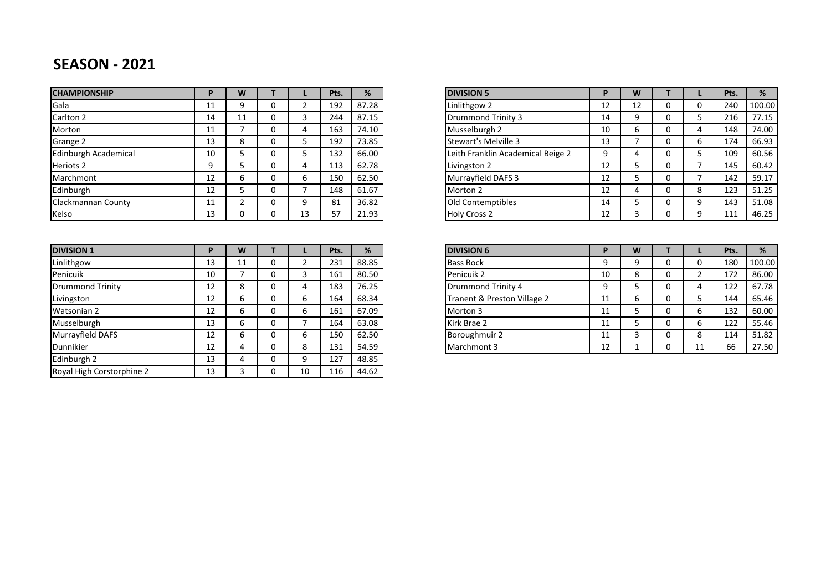## **SEASON - 2021**

| <b>CHAMPIONSHIP</b>  | P  | W              | т        |    | Pts. | %     |
|----------------------|----|----------------|----------|----|------|-------|
| Gala                 | 11 | 9              | 0        | 2  | 192  | 87.28 |
| Carlton 2            | 14 | 11             | 0        | 3  | 244  | 87.15 |
| Morton               | 11 | 7              | $\Omega$ | 4  | 163  | 74.10 |
| Grange 2             | 13 | 8              | 0        | 5  | 192  | 73.85 |
| Edinburgh Academical | 10 | 5              | 0        | 5  | 132  | 66.00 |
| Heriots <sub>2</sub> | 9  | 5              | 0        | 4  | 113  | 62.78 |
| Marchmont            | 12 | 6              | 0        | 6  | 150  | 62.50 |
| Edinburgh            | 12 | 5              | $\Omega$ | 7  | 148  | 61.67 |
| Clackmannan County   | 11 | $\overline{2}$ | $\Omega$ | 9  | 81   | 36.82 |
| Kelso                | 13 | 0              | 0        | 13 | 57   | 21.93 |

| <b>DIVISION 1</b>         | P  | W  |   |    | Pts. | %     | <b>DIVISION</b>  |
|---------------------------|----|----|---|----|------|-------|------------------|
| Linlithgow                | 13 | 11 | 0 | 2  | 231  | 88.85 | <b>Bass Rock</b> |
| Penicuik                  | 10 | 7  | 0 | 3  | 161  | 80.50 | Penicuik 2       |
| <b>Drummond Trinity</b>   | 12 | 8  | 0 | 4  | 183  | 76.25 | Drummor          |
| Livingston                | 12 | 6  | 0 | 6  | 164  | 68.34 | Tranent 8        |
| Watsonian 2               | 12 | 6  | 0 | 6  | 161  | 67.09 | Morton 3         |
| Musselburgh               | 13 | 6  | 0 | 7  | 164  | 63.08 | Kirk Brae        |
| Murrayfield DAFS          | 12 | 6  | 0 | 6  | 150  | 62.50 | Boroughn         |
| Dunnikier                 | 12 | 4  | 0 | 8  | 131  | 54.59 | Marchmo          |
| Edinburgh 2               | 13 | 4  | 0 | 9  | 127  | 48.85 |                  |
| Royal High Corstorphine 2 | 13 | 3  | 0 | 10 | 116  | 44.62 |                  |

|   |    | Pts. | %     | <b>DIVISION 5</b>                 | D  | W  |   |   | Pts. | %      |
|---|----|------|-------|-----------------------------------|----|----|---|---|------|--------|
| 0 |    | 192  | 87.28 | Linlithgow 2                      | 12 | 12 | 0 | 0 | 240  | 100.00 |
| 0 | 3  | 244  | 87.15 | <b>Drummond Trinity 3</b>         | 14 | 9  | 0 | 5 | 216  | 77.15  |
| 0 | 4  | 163  | 74.10 | Musselburgh 2                     | 10 | 6  | 0 | 4 | 148  | 74.00  |
| 0 | 5  | 192  | 73.85 | Stewart's Melville 3              | 13 | ⇁  | 0 | 6 | 174  | 66.93  |
| 0 | 5  | 132  | 66.00 | Leith Franklin Academical Beige 2 | 9  | 4  | 0 | 5 | 109  | 60.56  |
| 0 | 4  | 113  | 62.78 | Livingston 2                      | 12 | 5  | 0 |   | 145  | 60.42  |
| 0 | 6  | 150  | 62.50 | Murrayfield DAFS 3                | 12 | כ  | 0 |   | 142  | 59.17  |
| 0 |    | 148  | 61.67 | Morton 2                          | 12 | 4  | 0 | 8 | 123  | 51.25  |
| 0 | 9  | 81   | 36.82 | Old Contemptibles                 | 14 | 5  | 0 | 9 | 143  | 51.08  |
| 0 | 13 | 57   | 21.93 | <b>Holy Cross 2</b>               | 12 | 3  | 0 | 9 | 111  | 46.25  |

| Pts. | %     |
|------|-------|
| 231  | 88.85 |
| 161  | 80.50 |
| 183  | 76.25 |
| 164  | 68.34 |
| 161  | 67.09 |
| 164  | 63.08 |
| 150  | 62.50 |
| 131  | 54.59 |
|      |       |